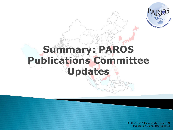

## **Summary: PAROS Publications Committee Updates**

EXCO\_2.1\_2.2\_Main Study Updates N Publication Committee Updates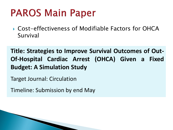## **PAROS Main Paper**

▶ Cost-effectiveness of Modifiable Factors for OHCA Survival

**Title: Strategies to Improve Survival Outcomes of Out-Of-Hospital Cardiac Arrest (OHCA) Given a Fixed Budget: A Simulation Study**

Target Journal: Circulation

Timeline: Submission by end May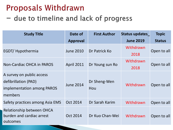## **Proposals Withdrawn**

- due to timeline and lack of progress

| <b>Study Title</b>                                                                         | Date of           | <b>First Author</b> | Status updates    | <b>Topic</b>  |
|--------------------------------------------------------------------------------------------|-------------------|---------------------|-------------------|---------------|
|                                                                                            | <b>Approval</b>   |                     | <b>June 2019</b>  | <b>Status</b> |
| EGDT/ Hypothermia                                                                          | <b>June 2010</b>  | Dr Patrick Ko       | Withdrawn<br>2018 | Open to all   |
| Non-Cardiac OHCA in PAROS                                                                  | <b>April 2011</b> | Dr Young sun Ro     | Withdrawn<br>2018 | Open to all   |
| A survey on public access<br>defibrillation (PAD)<br>implementation among PAROS<br>members | <b>June 2014</b>  | Dr Sheng-Wen<br>Hou | Withdrawn         | Open to all   |
| Safety practices among Asia EMS                                                            | Oct 2014          | Dr Sarah Karim      | Withdrawn         | Open to all   |
| Relationship between OHCA<br>burden and cardiac arrest<br>outcomes                         | Oct 2014          | Dr Kuo Chan-Wei     | Withdrawn         | Open to all   |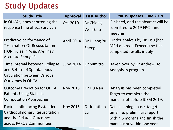## **Study Updates**

| <b>Study Title</b>                                                                                                            | <b>Approval</b>   | <b>First Author</b>   | <b>Status updates_June 2019</b>                                                                                              |
|-------------------------------------------------------------------------------------------------------------------------------|-------------------|-----------------------|------------------------------------------------------------------------------------------------------------------------------|
| In OHCAs, does shortening the<br>response time effect survival?                                                               | Oct 2010          | Dr Chiang<br>Wen-Chu  | Finished, and the abstract will be<br>submitted to 2019 ERC annual<br>meeting                                                |
| Predictive performance of<br>Termination-Of-Resuscitation<br>(TOR) rules in Asia: Are They<br><b>Accurate Enough?</b>         | <b>April 2014</b> | Dr Huang Yu-<br>Sheng | Under analysis by Dr. Hsu (her<br>MPH degree). Expects the final<br>completed results in July.                               |
| Time Interval between Collapse<br>and Return of Spontaneous<br><b>Circulation between Various</b><br><b>Outcomes in OHCA</b>  | June 2014         | Dr Sumitro            | Taken over by Dr Andrew Ho.<br>Analysis in progress                                                                          |
| <b>Outcome Prediction for OHCA</b><br><b>Patients Using Statistical</b><br><b>Computation Approaches</b>                      | <b>Nov 2015</b>   | Dr Liu Nan            | Analysis has been completed.<br>Target to complete the<br>manuscript before ICEM 2019.                                       |
| <b>Factors Influencing Bystander</b><br>Cardiopulmonary Resuscitation<br>and the Related Outcomes<br>across PAROS Communities | <b>Nov 2015</b>   | Dr Jonathan<br>Lu     | Data cleaning phase, target<br>timeline: preliminary report<br>within 6 months and finish the<br>manuscript within one year. |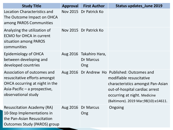| <b>Study Title</b>                                                                                                                                     | <b>Approval</b> | <b>First Author</b>                                | <b>Status updates_June 2019</b>                                                                                                                                                                                          |
|--------------------------------------------------------------------------------------------------------------------------------------------------------|-----------------|----------------------------------------------------|--------------------------------------------------------------------------------------------------------------------------------------------------------------------------------------------------------------------------|
| <b>Location Characteristics and</b><br>The Outcome Impact on OHCA<br>among PAROS Communities                                                           |                 | Nov 2015 Dr Patrick Ko                             |                                                                                                                                                                                                                          |
| Analyzing the utilization of<br><b>ECMO for OHCA in current</b><br>situation among PAROS<br>communities                                                |                 | Nov 2015 Dr Patrick Ko                             |                                                                                                                                                                                                                          |
| <b>Epidemiology of OHCA</b><br>between developing and<br>developed countries                                                                           |                 | Aug 2016 Takahiro Hara,<br><b>Dr Marcus</b><br>Ong |                                                                                                                                                                                                                          |
| Association of outcomes and<br>resuscitative efforts amongst<br>OHCA occurring at night in the<br>Asia-Pacific – a prospective,<br>observational study |                 |                                                    | Aug 2016 Dr Andrew Ho Published: Outcomes and<br>modifiable resuscitative<br>characteristics amongst Pan-Asian<br>out-of-hospital cardiac arrest<br>occurring at night. Medicine<br>(Baltimore). 2019 Mar;98(10):e14611. |
| <b>Resuscitation Academy (RA)</b><br>10-Step Implementations in<br>the Pan-Asian Resuscitation<br><b>Outcomes Study (PAROS) group</b>                  | Aug 2016        | Dr Marcus<br>Ong                                   | Ongoing                                                                                                                                                                                                                  |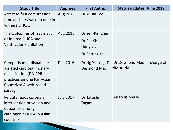| <b>Study Title</b>                                                                                                                               | <b>Approval</b>  | <b>First Author</b>                                           | <b>Status updates June 2019</b>                             |
|--------------------------------------------------------------------------------------------------------------------------------------------------|------------------|---------------------------------------------------------------|-------------------------------------------------------------|
| Arrest to first compression<br>time and survival outcome in<br>witness OHCA.                                                                     | Aug 2016         | Dr Yu Jin Lee                                                 |                                                             |
| The Outcomes of Traumatic<br>or Injured OHCA and<br><b>Ventricular Fibrillation</b>                                                              | Aug 2016         | Dr Yen-Pin Chen,<br>Dr Sot Shih-<br>Hung Liu<br>Dr Patrick Ko |                                                             |
| Comparison of dispatcher-<br>assisted cardiopulmonary<br>resuscitation (DA-CPR)<br>practices among Pan-Asian<br>Countries: A web-based<br>survey | Dec 2016         | Desmond Mao                                                   | Dr Ng Yih Yng, Dr Dr Desmond Mao in-charge of<br>the study. |
| Percutaneous coronary<br>intervention provision and<br>outcomes among<br>cardiogenic OHCA in Asian<br>countries                                  | <b>July 2017</b> | Dr Takashi<br>Tagami                                          | Analysis phase                                              |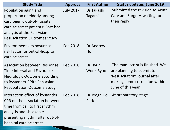| <b>Study Title</b>                                                                                                                                                                          | <b>Approval</b>  | <b>First Author</b>  | <b>Status updates_June 2019</b>                                                                                                                     |
|---------------------------------------------------------------------------------------------------------------------------------------------------------------------------------------------|------------------|----------------------|-----------------------------------------------------------------------------------------------------------------------------------------------------|
| Population aging and<br>proportion of elderly among<br>cardiogenic out-of-hospital<br>cardiac arrest patients: Post-hoc<br>analysis of the Pan Asian<br><b>Resuscitation Outcomes Study</b> | <b>July 2017</b> | Dr Takashi<br>Tagami | Submitted the revision to Acute<br>Care and Surgery, waiting for<br>their reply                                                                     |
| Environmental exposure as a<br>risk factor for out-of-hospital<br>cardiac arrest                                                                                                            | Feb 2018         | Dr Andrew<br>Ho      |                                                                                                                                                     |
| <b>Association between Response</b><br>Time Interval and Favorable<br><b>Neurologic Outcome according</b><br>to Bystander CPR : Pan Asian<br><b>Resuscitation Outcome Study</b>             | Feb 2018         | Dr Hyun<br>Wook Ryoo | The manuscript is finished. We<br>are planning to submit to<br>'Resuscitation' journal after<br>making some correction within<br>June of this year. |
| Interaction effect of bystander<br>CPR on the association between<br>time from call to first rhythm<br>analysis and shockable<br>presenting rhythm after out-of-<br>hospital cardiac arrest | Feb 2018         | Dr Jeogn Ho<br>Park  | At preparatory stage                                                                                                                                |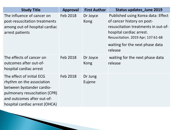| <b>Study Title</b>                                                                                                                                                                   | <b>Approval</b> | <b>First Author</b>     | <b>Status updates_June 2019</b>                                                                                                                                                                                         |
|--------------------------------------------------------------------------------------------------------------------------------------------------------------------------------------|-----------------|-------------------------|-------------------------------------------------------------------------------------------------------------------------------------------------------------------------------------------------------------------------|
| The influence of cancer on<br>post-resuscitation treatments<br>among out-of-hospital cardiac<br>arrest patients                                                                      | Feb 2018        | Dr Joyce<br><b>Kong</b> | Published using Korea data: Effect<br>of cancer history on post-<br>resuscitation treatments in out-of-<br>hospital cardiac arrest.<br>Resuscitation. 2019 Apr; 137:61-68<br>waiting for the next phase data<br>release |
| The effects of cancer on<br>outcomes after out-of-<br>hospital cardiac arrest                                                                                                        | Feb 2018        | Dr Joyce<br>Kong        | waiting for the next phase data<br>release                                                                                                                                                                              |
| The effect of initial ECG<br>rhythm on the association<br>between bystander cardio-<br>pulmonary resuscitation (CPR)<br>and outcomes after out-of-<br>hospital cardiac arrest (OHCA) | Feb 2018        | Dr Jung<br>Eujene       |                                                                                                                                                                                                                         |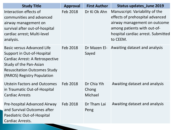| <b>Study Title</b>                                                                                                                                                                                 | <b>Approval</b> | <b>First Author</b>             | <b>Status updates_June 2019</b>                                                                                                                                                    |
|----------------------------------------------------------------------------------------------------------------------------------------------------------------------------------------------------|-----------------|---------------------------------|------------------------------------------------------------------------------------------------------------------------------------------------------------------------------------|
| Interaction effects of<br>communities and advanced<br>airway management on<br>survival after out-of-hospital<br>cardiac arrest; Multi-level<br>analysis.                                           | Feb 2018        | Dr Ki Ok Ahn                    | Manuscript: Variability of the<br>effects of prehospital advanced<br>airway management on outcome<br>among patients with out-of-<br>hospital cardiac arrest. Submitted<br>to CEEM. |
| <b>Basic versus Advanced Life</b><br>Support in Out-of-Hospital<br>Cardiac Arrest: A Retrospective<br>Study of the Pan-Asian<br><b>Resuscitation Outcomes Study</b><br>(PAROS) Registry Population | Feb 2018        | Sayed                           | Dr Mazen El- Awaiting dataset and analysis                                                                                                                                         |
| <b>Utstein Factors and Outcomes</b><br>in Traumatic Out-of-Hospital<br><b>Cardiac Arrests</b>                                                                                                      | Feb 2018        | Dr Chia Yih<br>Chong<br>Michael | Awaiting dataset and analysis                                                                                                                                                      |
| Pre-hospital Advanced Airway<br>and Survival Outcomes after<br>Paediatric Out-of-Hospital<br>Cardiac Arrests.                                                                                      | Feb 2018        | Dr Tham Lai<br>Peng             | Awaiting dataset and analysis                                                                                                                                                      |